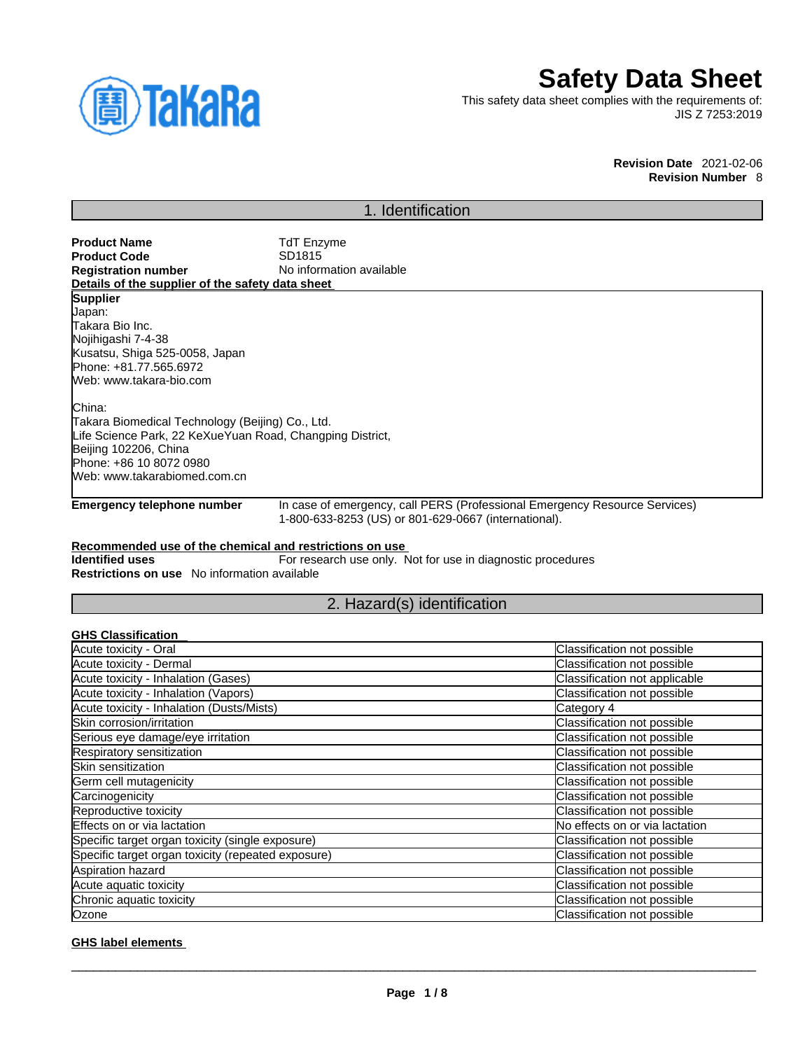

# **Safety Data Sheet**

This safety data sheet complies with the requirements of: JIS Z 7253:2019

#### **Revision Date** 2021-02-06 **Revision Number** 8

## 1. Identification

| <b>Product Name</b>                              | <b>TdT Enzyme</b>        |
|--------------------------------------------------|--------------------------|
| Product Code                                     | SD <sub>1815</sub>       |
| <b>Registration number</b>                       | No information available |
| Details of the supplier of the safety data sheet |                          |
| <b>Supplier</b>                                  |                          |
| Japan:                                           |                          |
| Takara Bio Inc.                                  |                          |
| Nojihigashi 7-4-38                               |                          |
| Kusatsu, Shiga 525-0058, Japan                   |                          |
| Phone: +81.77.565.6972                           |                          |
| Web: www.takara-bio.com                          |                          |
|                                                  |                          |

China: Takara Biomedical Technology (Beijing) Co., Ltd. Life Science Park, 22 KeXueYuan Road, Changping District, Beijing 102206, China Phone: +86 10 8072 0980 Web: www.takarabiomed.com.cn

**Emergency telephone number** In case of emergency, call PERS (Professional Emergency Resource Services) 1-800-633-8253 (US) or 801-629-0667 (international).

## **Recommended use of the chemical and restrictions on use**

**Identified uses** For research use only. Not for use in diagnostic procedures **Restrictions on use** No information available

## 2. Hazard(s) identification

| <b>GHS Classification</b>                          |                                |
|----------------------------------------------------|--------------------------------|
| Acute toxicity - Oral                              | Classification not possible    |
| Acute toxicity - Dermal                            | Classification not possible    |
| Acute toxicity - Inhalation (Gases)                | Classification not applicable  |
| Acute toxicity - Inhalation (Vapors)               | Classification not possible    |
| Acute toxicity - Inhalation (Dusts/Mists)          | Category 4                     |
| Skin corrosion/irritation                          | Classification not possible    |
| Serious eye damage/eye irritation                  | Classification not possible    |
| Respiratory sensitization                          | Classification not possible    |
| Skin sensitization                                 | Classification not possible    |
| Germ cell mutagenicity                             | Classification not possible    |
| Carcinogenicity                                    | Classification not possible    |
| Reproductive toxicity                              | Classification not possible    |
| Effects on or via lactation                        | No effects on or via lactation |
| Specific target organ toxicity (single exposure)   | Classification not possible    |
| Specific target organ toxicity (repeated exposure) | Classification not possible    |
| Aspiration hazard                                  | Classification not possible    |
| Acute aquatic toxicity                             | Classification not possible    |
| Chronic aquatic toxicity                           | Classification not possible    |
| Ozone                                              | Classification not possible    |

#### **GHS label elements**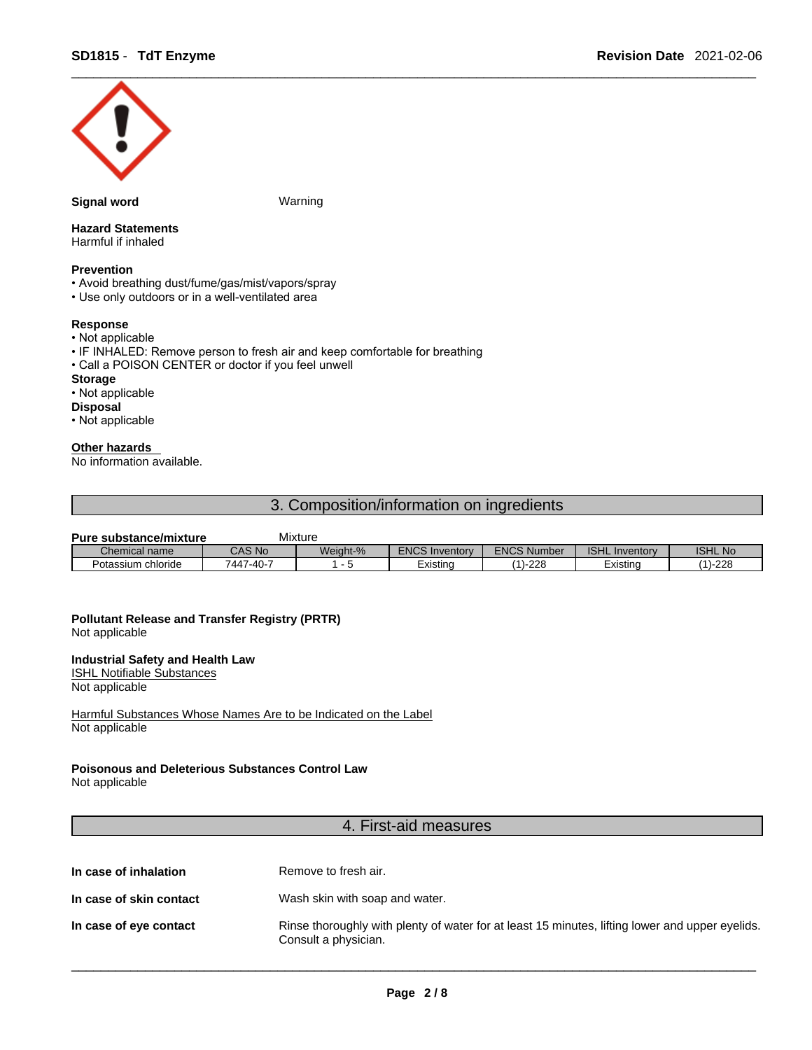

#### **Signal word Warning**

## **Hazard Statements**

Harmful if inhaled

### **Prevention**

- Avoid breathing dust/fume/gas/mist/vapors/spray
- Use only outdoors or in a well-ventilated area

#### **Response**

- Not applicable
- IF INHALED: Remove person to fresh air and keep comfortable for breathing
- Call a POISON CENTER or doctor if you feel unwell

## **Storage**

## • Not applicable

## **Disposal**

• Not applicable

#### **Other hazards**

No information available.

## 3. Composition/information on ingredients

| <b>Pure substance/mixture</b> |           | Mixture  |                       |                    |                       |                |
|-------------------------------|-----------|----------|-----------------------|--------------------|-----------------------|----------------|
| Chemical name                 | CAS No    | Weight-% | <b>ENCS Inventory</b> | <b>ENCS Number</b> | <b>ISHL Inventory</b> | <b>ISHL No</b> |
| Potassium chloride            | 7447-40-7 |          | Existina              | (1)-228            | Existina              | $-228$<br>(A)  |

## **Pollutant Release and Transfer Registry (PRTR)**

Not applicable

#### **Industrial Safety and Health Law**

ISHL Notifiable Substances

Not applicable

Harmful Substances Whose Names Are to be Indicated on the Label Not applicable

### **Poisonous and Deleterious Substances Control Law**

Not applicable

## 4. First-aid measures

| In case of inhalation | Remove to fresh air. |
|-----------------------|----------------------|
|                       |                      |

- **In case of skin contact** Wash skin with soap and water.
- **In case of eye contact** Rinse thoroughly with plenty of water for at least 15 minutes, lifting lower and upper eyelids. Consult a physician.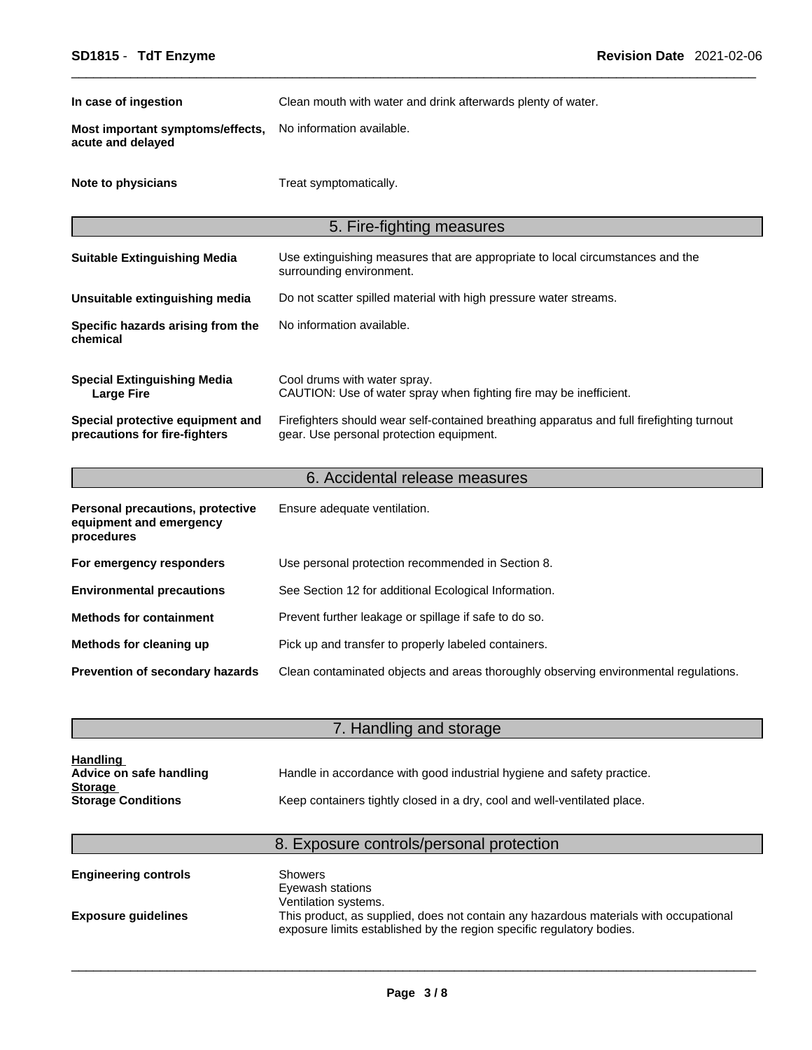| In case of ingestion                                                      | Clean mouth with water and drink afterwards plenty of water.                                                                          |
|---------------------------------------------------------------------------|---------------------------------------------------------------------------------------------------------------------------------------|
| Most important symptoms/effects,<br>acute and delayed                     | No information available.                                                                                                             |
| Note to physicians                                                        | Treat symptomatically.                                                                                                                |
|                                                                           | 5. Fire-fighting measures                                                                                                             |
| <b>Suitable Extinguishing Media</b>                                       | Use extinguishing measures that are appropriate to local circumstances and the<br>surrounding environment.                            |
| Unsuitable extinguishing media                                            | Do not scatter spilled material with high pressure water streams.                                                                     |
| Specific hazards arising from the<br>chemical                             | No information available.                                                                                                             |
| <b>Special Extinguishing Media</b><br><b>Large Fire</b>                   | Cool drums with water spray.<br>CAUTION: Use of water spray when fighting fire may be inefficient.                                    |
| Special protective equipment and<br>precautions for fire-fighters         | Firefighters should wear self-contained breathing apparatus and full firefighting turnout<br>gear. Use personal protection equipment. |
|                                                                           | 6. Accidental release measures                                                                                                        |
| Personal precautions, protective<br>equipment and emergency<br>procedures | Ensure adequate ventilation.                                                                                                          |
| For emergency responders                                                  | Use personal protection recommended in Section 8.                                                                                     |
| <b>Environmental precautions</b>                                          | See Section 12 for additional Ecological Information.                                                                                 |
| <b>Methods for containment</b>                                            | Prevent further leakage or spillage if safe to do so.                                                                                 |
| Methods for cleaning up                                                   | Pick up and transfer to properly labeled containers.                                                                                  |

**Prevention of secondary hazards** Clean contaminated objects and areas thoroughly observing environmental regulations.

## **7. Handling and storage and storage and storage and storage and storage and storage and storage and storage and storage and storage and storage and storage and storage and storage and storage and storage and storage and s**

| <b>Handling</b>           |                                                                          |
|---------------------------|--------------------------------------------------------------------------|
| Advice on safe handling   | Handle in accordance with good industrial hygiene and safety practice.   |
| <b>Storage</b>            |                                                                          |
| <b>Storage Conditions</b> | Keep containers tightly closed in a dry, cool and well-ventilated place. |

## 8. Exposure controls/personal protection

| <b>Engineering controls</b> | Showers<br>Eyewash stations                                                                                                                                                            |
|-----------------------------|----------------------------------------------------------------------------------------------------------------------------------------------------------------------------------------|
| <b>Exposure quidelines</b>  | Ventilation systems.<br>This product, as supplied, does not contain any hazardous materials with occupational<br>exposure limits established by the region specific regulatory bodies. |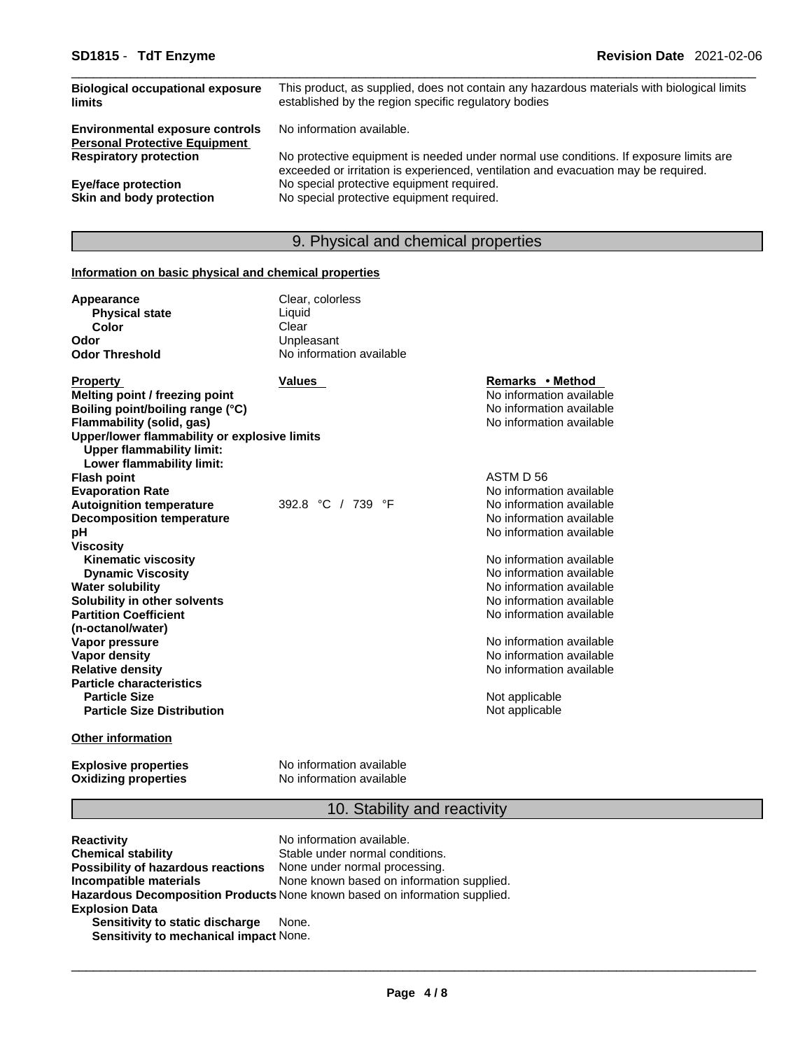| <b>Biological occupational exposure</b><br>limits                              | This product, as supplied, does not contain any hazardous materials with biological limits<br>established by the region specific regulatory bodies                          |
|--------------------------------------------------------------------------------|-----------------------------------------------------------------------------------------------------------------------------------------------------------------------------|
| <b>Environmental exposure controls</b><br><b>Personal Protective Equipment</b> | No information available.                                                                                                                                                   |
| <b>Respiratory protection</b>                                                  | No protective equipment is needed under normal use conditions. If exposure limits are<br>exceeded or irritation is experienced, ventilation and evacuation may be required. |
| Eye/face protection                                                            | No special protective equipment required.                                                                                                                                   |
| Skin and body protection                                                       | No special protective equipment required.                                                                                                                                   |

## 9. Physical and chemical properties

## **Information on basic physical and chemical properties**

| <b>Appearance</b><br><b>Physical state</b>   | Clear, colorless<br>Liquid |                          |
|----------------------------------------------|----------------------------|--------------------------|
| Color                                        | Clear                      |                          |
| Odor                                         | Unpleasant                 |                          |
| <b>Odor Threshold</b>                        | No information available   |                          |
| <b>Property</b>                              | <b>Values</b>              | Remarks • Method         |
| Melting point / freezing point               |                            | No information available |
| Boiling point/boiling range (°C)             |                            | No information available |
| Flammability (solid, gas)                    |                            | No information available |
| Upper/lower flammability or explosive limits |                            |                          |
| <b>Upper flammability limit:</b>             |                            |                          |
| Lower flammability limit:                    |                            |                          |
| <b>Flash point</b>                           |                            | ASTM D 56                |
| <b>Evaporation Rate</b>                      |                            | No information available |
| <b>Autoignition temperature</b>              | 392.8 °C / 739 °F          | No information available |
| <b>Decomposition temperature</b>             |                            | No information available |
| рH                                           |                            | No information available |
| <b>Viscosity</b>                             |                            |                          |
| <b>Kinematic viscosity</b>                   |                            | No information available |
| <b>Dynamic Viscosity</b>                     |                            | No information available |
| <b>Water solubility</b>                      |                            | No information available |
| Solubility in other solvents                 |                            | No information available |
| <b>Partition Coefficient</b>                 |                            | No information available |
| (n-octanol/water)                            |                            |                          |
| Vapor pressure                               |                            | No information available |
| <b>Vapor density</b>                         |                            | No information available |
| <b>Relative density</b>                      |                            | No information available |
| <b>Particle characteristics</b>              |                            |                          |
| <b>Particle Size</b>                         |                            | Not applicable           |
| <b>Particle Size Distribution</b>            |                            | Not applicable           |
| <b>Other information</b>                     |                            |                          |
|                                              |                            |                          |

**Explosive properties**<br> **Oxidizing properties**<br>
No information available<br>
No information available **No information available** 

## 10. Stability and reactivity

| <b>Reactivity</b>                                                       | No information available.                                                  |
|-------------------------------------------------------------------------|----------------------------------------------------------------------------|
| <b>Chemical stability</b>                                               | Stable under normal conditions.                                            |
| <b>Possibility of hazardous reactions</b> None under normal processing. |                                                                            |
| Incompatible materials                                                  | None known based on information supplied.                                  |
|                                                                         | Hazardous Decomposition Products None known based on information supplied. |
| <b>Explosion Data</b>                                                   |                                                                            |
| Sensitivity to static discharge                                         | None.                                                                      |
| Sensitivity to mechanical impact None.                                  |                                                                            |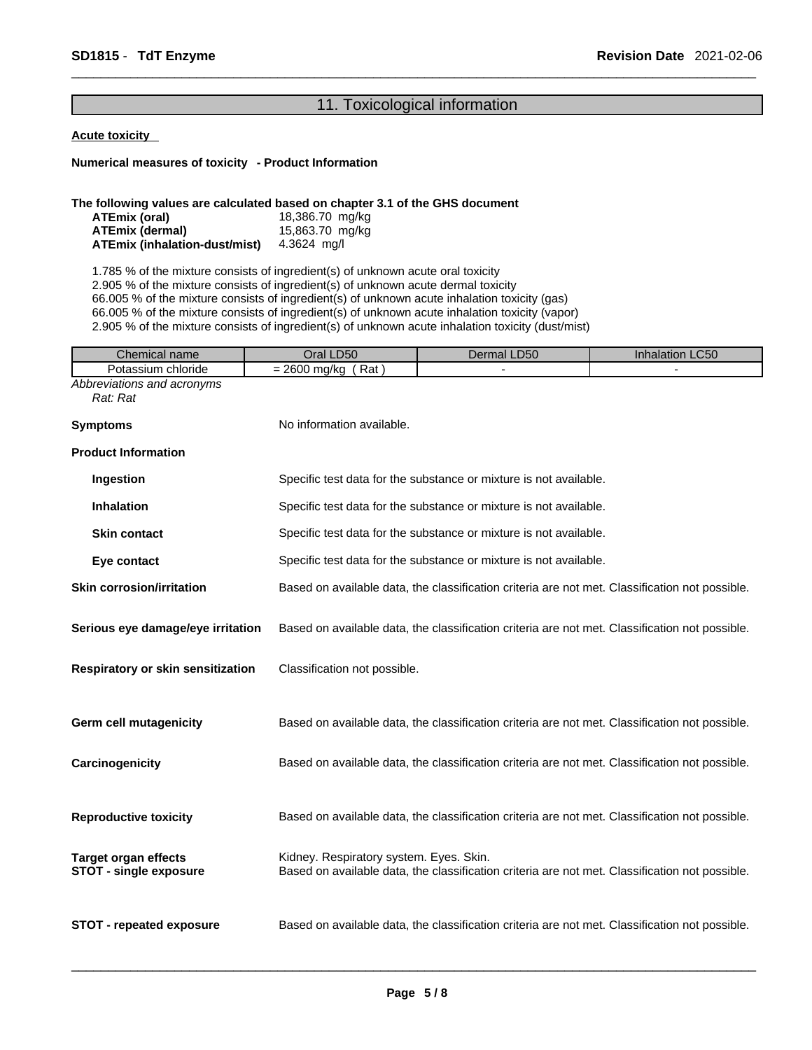## 11. Toxicological information

#### **Acute toxicity**

**Numerical measures of toxicity - Product Information**

#### **The following values are calculated based on chapter 3.1 of the GHS document**

| ATEmix (oral)                        | 18,386.70 mg/kg |
|--------------------------------------|-----------------|
| ATEmix (dermal)                      | 15,863.70 mg/kg |
| <b>ATEmix (inhalation-dust/mist)</b> | 4.3624 ma/l     |

1.785 % of the mixture consists of ingredient(s) of unknown acute oral toxicity 2.905 % of the mixture consists of ingredient(s) of unknown acute dermal toxicity 66.005 % of the mixture consists of ingredient(s) of unknown acute inhalation toxicity (gas) 66.005 % of the mixture consists of ingredient(s) of unknown acute inhalation toxicity (vapor) 2.905 % of the mixture consists of ingredient(s) of unknown acute inhalation toxicity (dust/mist)

| Oral LD50                                                         | Dermal LD50 | Inhalation LC50                                                                                                                                                                                                                                                                                                                                                                                                                                                                                                                                                                                                                                                                                                                                                                                                                                                                                    |
|-------------------------------------------------------------------|-------------|----------------------------------------------------------------------------------------------------------------------------------------------------------------------------------------------------------------------------------------------------------------------------------------------------------------------------------------------------------------------------------------------------------------------------------------------------------------------------------------------------------------------------------------------------------------------------------------------------------------------------------------------------------------------------------------------------------------------------------------------------------------------------------------------------------------------------------------------------------------------------------------------------|
| $= 2600$ mg/kg (Rat)                                              |             |                                                                                                                                                                                                                                                                                                                                                                                                                                                                                                                                                                                                                                                                                                                                                                                                                                                                                                    |
|                                                                   |             |                                                                                                                                                                                                                                                                                                                                                                                                                                                                                                                                                                                                                                                                                                                                                                                                                                                                                                    |
| No information available.                                         |             |                                                                                                                                                                                                                                                                                                                                                                                                                                                                                                                                                                                                                                                                                                                                                                                                                                                                                                    |
|                                                                   |             |                                                                                                                                                                                                                                                                                                                                                                                                                                                                                                                                                                                                                                                                                                                                                                                                                                                                                                    |
|                                                                   |             |                                                                                                                                                                                                                                                                                                                                                                                                                                                                                                                                                                                                                                                                                                                                                                                                                                                                                                    |
|                                                                   |             |                                                                                                                                                                                                                                                                                                                                                                                                                                                                                                                                                                                                                                                                                                                                                                                                                                                                                                    |
|                                                                   |             |                                                                                                                                                                                                                                                                                                                                                                                                                                                                                                                                                                                                                                                                                                                                                                                                                                                                                                    |
| Specific test data for the substance or mixture is not available. |             |                                                                                                                                                                                                                                                                                                                                                                                                                                                                                                                                                                                                                                                                                                                                                                                                                                                                                                    |
|                                                                   |             |                                                                                                                                                                                                                                                                                                                                                                                                                                                                                                                                                                                                                                                                                                                                                                                                                                                                                                    |
|                                                                   |             |                                                                                                                                                                                                                                                                                                                                                                                                                                                                                                                                                                                                                                                                                                                                                                                                                                                                                                    |
|                                                                   |             |                                                                                                                                                                                                                                                                                                                                                                                                                                                                                                                                                                                                                                                                                                                                                                                                                                                                                                    |
|                                                                   |             |                                                                                                                                                                                                                                                                                                                                                                                                                                                                                                                                                                                                                                                                                                                                                                                                                                                                                                    |
|                                                                   |             |                                                                                                                                                                                                                                                                                                                                                                                                                                                                                                                                                                                                                                                                                                                                                                                                                                                                                                    |
|                                                                   |             |                                                                                                                                                                                                                                                                                                                                                                                                                                                                                                                                                                                                                                                                                                                                                                                                                                                                                                    |
|                                                                   |             |                                                                                                                                                                                                                                                                                                                                                                                                                                                                                                                                                                                                                                                                                                                                                                                                                                                                                                    |
|                                                                   |             |                                                                                                                                                                                                                                                                                                                                                                                                                                                                                                                                                                                                                                                                                                                                                                                                                                                                                                    |
|                                                                   |             | Specific test data for the substance or mixture is not available.<br>Specific test data for the substance or mixture is not available.<br>Specific test data for the substance or mixture is not available.<br>Based on available data, the classification criteria are not met. Classification not possible.<br>Based on available data, the classification criteria are not met. Classification not possible.<br>Classification not possible.<br>Based on available data, the classification criteria are not met. Classification not possible.<br>Based on available data, the classification criteria are not met. Classification not possible.<br>Based on available data, the classification criteria are not met. Classification not possible.<br>Kidney. Respiratory system. Eyes. Skin.<br>Based on available data, the classification criteria are not met. Classification not possible. |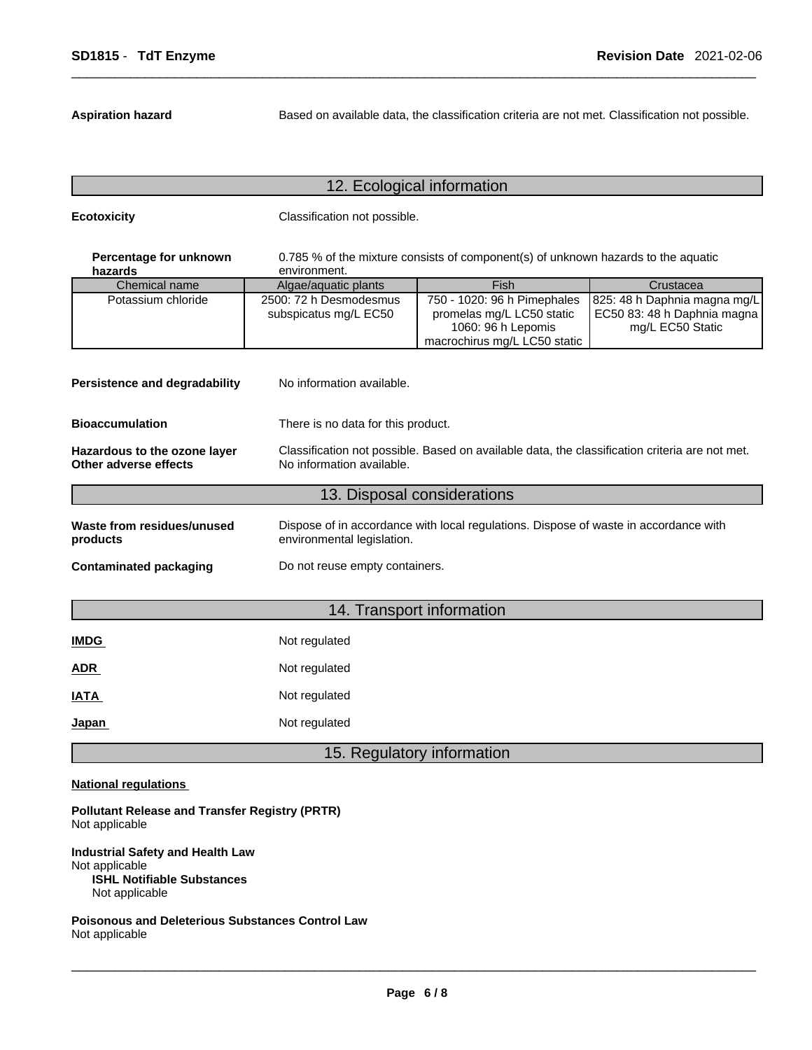**Aspiration hazard** Based on available data, the classification criteria are not met. Classification not possible.

## 12. Ecological information

**Ecotoxicity Classification not possible.** 

| Percentage for unknown<br>hazards | 0.785 % of the mixture consists of component(s) of unknown hazards to the aquatic<br>environment. |                                                                                                                |                                                                                   |  |  |  |
|-----------------------------------|---------------------------------------------------------------------------------------------------|----------------------------------------------------------------------------------------------------------------|-----------------------------------------------------------------------------------|--|--|--|
| Chemical name                     | Algae/aguatic plants                                                                              | Fish                                                                                                           | Crustacea                                                                         |  |  |  |
| Potassium chloride                | 2500: 72 h Desmodesmus<br>subspicatus mg/L EC50                                                   | 750 - 1020: 96 h Pimephales<br>promelas mg/L LC50 static<br>1060: 96 h Lepomis<br>macrochirus mg/L LC50 static | 825: 48 h Daphnia magna mg/L<br>EC50 83: 48 h Daphnia magna  <br>mg/L EC50 Static |  |  |  |

| No information available.<br>Persistence and degradability   |                                                                                                                             |  |  |
|--------------------------------------------------------------|-----------------------------------------------------------------------------------------------------------------------------|--|--|
| <b>Bioaccumulation</b><br>There is no data for this product. |                                                                                                                             |  |  |
| Hazardous to the ozone layer<br>Other adverse effects        | Classification not possible. Based on available data, the classification criteria are not met.<br>No information available. |  |  |
|                                                              | 13. Disposal considerations                                                                                                 |  |  |
| Waste from residues/unused<br>products                       | Dispose of in accordance with local regulations. Dispose of waste in accordance with<br>environmental legislation.          |  |  |
| Contaminated packaging                                       | Do not reuse empty containers.                                                                                              |  |  |
|                                                              |                                                                                                                             |  |  |

## 14. Transport information

| <b>IMDG</b> | Not regulated |
|-------------|---------------|
| <b>ADR</b>  | Not regulated |
| <b>IATA</b> | Not regulated |
| Japan       | Not regulated |

## 15. Regulatory information

### **National regulations**

**Pollutant Release and Transfer Registry (PRTR)** Not applicable

**Industrial Safety and Health Law** Not applicable **ISHL Notifiable Substances** Not applicable

**Poisonous and Deleterious Substances Control Law** Not applicable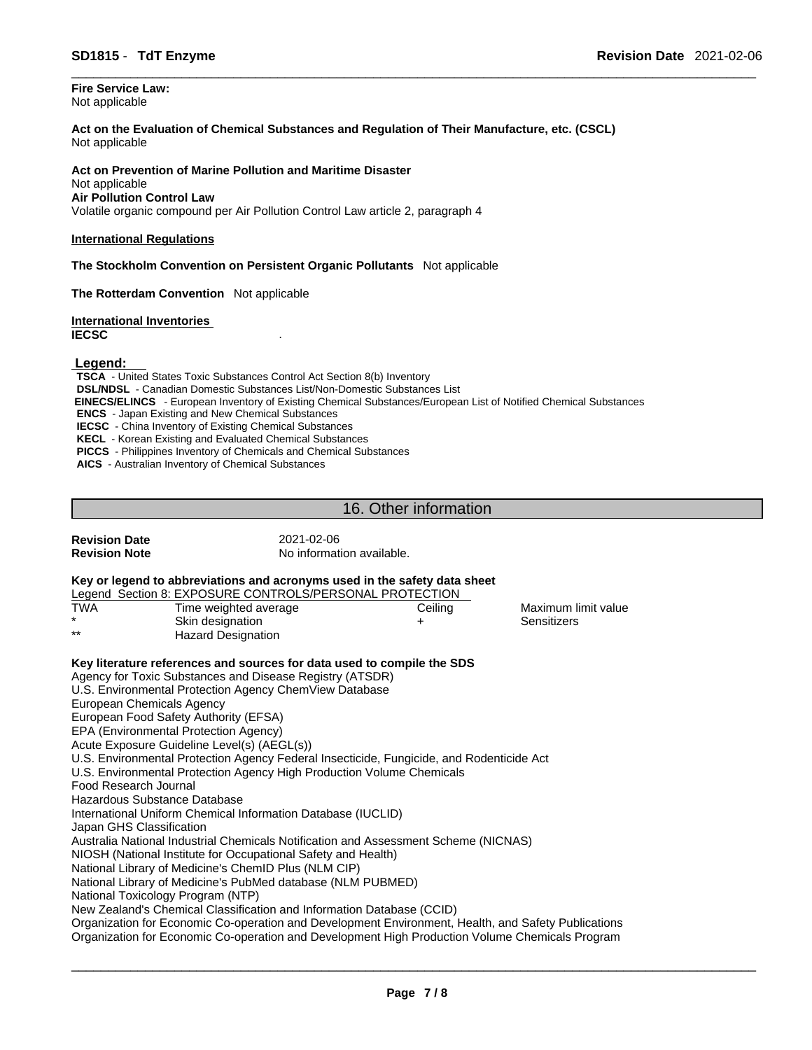**Fire Service Law:** Not applicable

**Act on the Evaluation of Chemical Substances and Regulation of Their Manufacture, etc. (CSCL)** Not applicable

**Act on Prevention of Marine Pollution and Maritime Disaster** Not applicable **Air Pollution Control Law** Volatile organic compound per Air Pollution Control Law article 2, paragraph 4

#### **International Regulations**

**The Stockholm Convention on Persistent Organic Pollutants** Not applicable

**The Rotterdam Convention** Not applicable

**International Inventories IECSC** .

 **Legend:** 

**TSCA** - United States Toxic Substances Control Act Section 8(b) Inventory **DSL/NDSL** - Canadian Domestic Substances List/Non-Domestic Substances List  **EINECS/ELINCS** - European Inventory of Existing Chemical Substances/European List of Notified Chemical Substances **ENCS** - Japan Existing and New Chemical Substances **IECSC** - China Inventory of Existing Chemical Substances **KECL** - Korean Existing and Evaluated Chemical Substances **PICCS** - Philippines Inventory of Chemicals and Chemical Substances

**AICS** - Australian Inventory of Chemical Substances

## 16. Other information

| <b>Revision Date</b><br><b>Revision Note</b>                                                                                                                                                           | 2021-02-06<br>No information available.                                                                                              |         |                     |  |  |  |  |  |  |
|--------------------------------------------------------------------------------------------------------------------------------------------------------------------------------------------------------|--------------------------------------------------------------------------------------------------------------------------------------|---------|---------------------|--|--|--|--|--|--|
|                                                                                                                                                                                                        | Key or legend to abbreviations and acronyms used in the safety data sheet<br>Legend Section 8: EXPOSURE CONTROLS/PERSONAL PROTECTION |         |                     |  |  |  |  |  |  |
| <b>TWA</b>                                                                                                                                                                                             | Time weighted average                                                                                                                | Ceiling | Maximum limit value |  |  |  |  |  |  |
|                                                                                                                                                                                                        | Skin designation                                                                                                                     | +       | Sensitizers         |  |  |  |  |  |  |
| **                                                                                                                                                                                                     | <b>Hazard Designation</b>                                                                                                            |         |                     |  |  |  |  |  |  |
|                                                                                                                                                                                                        | Key literature references and sources for data used to compile the SDS                                                               |         |                     |  |  |  |  |  |  |
| Agency for Toxic Substances and Disease Registry (ATSDR)                                                                                                                                               |                                                                                                                                      |         |                     |  |  |  |  |  |  |
| U.S. Environmental Protection Agency ChemView Database                                                                                                                                                 |                                                                                                                                      |         |                     |  |  |  |  |  |  |
| <b>European Chemicals Agency</b>                                                                                                                                                                       |                                                                                                                                      |         |                     |  |  |  |  |  |  |
|                                                                                                                                                                                                        | European Food Safety Authority (EFSA)                                                                                                |         |                     |  |  |  |  |  |  |
|                                                                                                                                                                                                        | EPA (Environmental Protection Agency)                                                                                                |         |                     |  |  |  |  |  |  |
|                                                                                                                                                                                                        | Acute Exposure Guideline Level(s) (AEGL(s))                                                                                          |         |                     |  |  |  |  |  |  |
| U.S. Environmental Protection Agency Federal Insecticide, Fungicide, and Rodenticide Act                                                                                                               |                                                                                                                                      |         |                     |  |  |  |  |  |  |
| U.S. Environmental Protection Agency High Production Volume Chemicals                                                                                                                                  |                                                                                                                                      |         |                     |  |  |  |  |  |  |
| Food Research Journal                                                                                                                                                                                  |                                                                                                                                      |         |                     |  |  |  |  |  |  |
| Hazardous Substance Database                                                                                                                                                                           |                                                                                                                                      |         |                     |  |  |  |  |  |  |
| International Uniform Chemical Information Database (IUCLID)                                                                                                                                           |                                                                                                                                      |         |                     |  |  |  |  |  |  |
| Japan GHS Classification                                                                                                                                                                               |                                                                                                                                      |         |                     |  |  |  |  |  |  |
| Australia National Industrial Chemicals Notification and Assessment Scheme (NICNAS)                                                                                                                    |                                                                                                                                      |         |                     |  |  |  |  |  |  |
| NIOSH (National Institute for Occupational Safety and Health)                                                                                                                                          |                                                                                                                                      |         |                     |  |  |  |  |  |  |
| National Library of Medicine's ChemID Plus (NLM CIP)                                                                                                                                                   |                                                                                                                                      |         |                     |  |  |  |  |  |  |
|                                                                                                                                                                                                        | National Library of Medicine's PubMed database (NLM PUBMED)                                                                          |         |                     |  |  |  |  |  |  |
|                                                                                                                                                                                                        | National Toxicology Program (NTP)                                                                                                    |         |                     |  |  |  |  |  |  |
|                                                                                                                                                                                                        | New Zealand's Chemical Classification and Information Database (CCID)                                                                |         |                     |  |  |  |  |  |  |
|                                                                                                                                                                                                        |                                                                                                                                      |         |                     |  |  |  |  |  |  |
| Organization for Economic Co-operation and Development Environment, Health, and Safety Publications<br>Organization for Economic Co-operation and Development High Production Volume Chemicals Program |                                                                                                                                      |         |                     |  |  |  |  |  |  |
|                                                                                                                                                                                                        |                                                                                                                                      |         |                     |  |  |  |  |  |  |